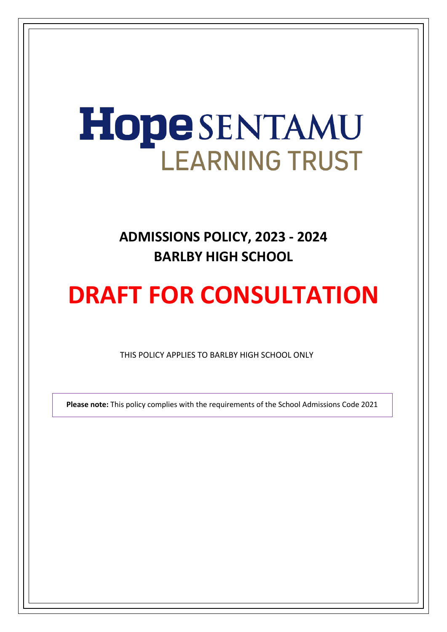# HopeSENTAMU **LEARNING TRUST**

## **ADMISSIONS POLICY, 2023 - 2024 BARLBY HIGH SCHOOL**

## **DRAFT FOR CONSULTATION**

THIS POLICY APPLIES TO BARLBY HIGH SCHOOL ONLY

**Please note:** This policy complies with the requirements of the School Admissions Code 2021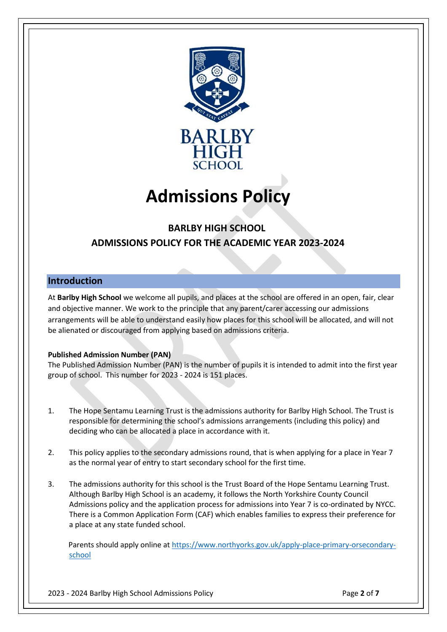

## **Admissions Policy**

### **BARLBY HIGH SCHOOL ADMISSIONS POLICY FOR THE ACADEMIC YEAR 2023-2024**

#### **Introduction**

At **Barlby High School** we welcome all pupils, and places at the school are offered in an open, fair, clear and objective manner. We work to the principle that any parent/carer accessing our admissions arrangements will be able to understand easily how places for this school will be allocated, and will not be alienated or discouraged from applying based on admissions criteria.

#### **Published Admission Number (PAN)**

The Published Admission Number (PAN) is the number of pupils it is intended to admit into the first year group of school. This number for 2023 - 2024 is 151 places.

- 1. The Hope Sentamu Learning Trust is the admissions authority for Barlby High School. The Trust is responsible for determining the school's admissions arrangements (including this policy) and deciding who can be allocated a place in accordance with it.
- 2. This policy applies to the secondary admissions round, that is when applying for a place in Year 7 as the normal year of entry to start secondary school for the first time.
- 3. The admissions authority for this school is the Trust Board of the Hope Sentamu Learning Trust. Although Barlby High School is an academy, it follows the North Yorkshire County Council Admissions policy and the application process for admissions into Year 7 is co-ordinated by NYCC. There is a Common Application Form (CAF) which enables families to express their preference for a place at any state funded school.

 Parents should apply online a[t https://www.northyorks.gov.uk/apply-place-primary-orsecondary](https://www.northyorks.gov.uk/apply-place-primary-or-secondary-school)[school](https://www.northyorks.gov.uk/apply-place-primary-or-secondary-school)

2023 - 2024 Barlby High School Admissions Policy Page **2** of **7**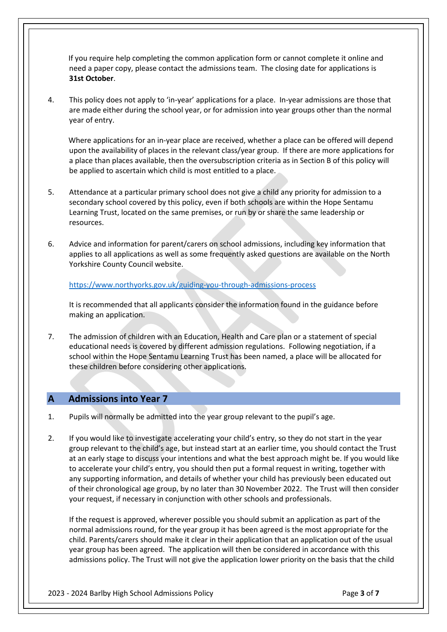If you require help completing the common application form or cannot complete it online and need a paper copy, please contact the admissions team. The closing date for applications is **31st October**.

4. This policy does not apply to 'in-year' applications for a place. In-year admissions are those that are made either during the school year, or for admission into year groups other than the normal year of entry.

 Where applications for an in-year place are received, whether a place can be offered will depend upon the availability of places in the relevant class/year group. If there are more applications for a place than places available, then the oversubscription criteria as in Section B of this policy will be applied to ascertain which child is most entitled to a place.

- 5. Attendance at a particular primary school does not give a child any priority for admission to a secondary school covered by this policy, even if both schools are within the Hope Sentamu Learning Trust, located on the same premises, or run by or share the same leadership or resources.
- 6. Advice and information for parent/carers on school admissions, including key information that applies to all applications as well as some frequently asked questions are available on the North Yorkshire County Council website.

<https://www.northyorks.gov.uk/guiding-you-through-admissions-process>

It is recommended that all applicants consider the information found in the guidance before making an application.

7. The admission of children with an Education, Health and Care plan or a statement of special educational needs is covered by different admission regulations. Following negotiation, if a school within the Hope Sentamu Learning Trust has been named, a place will be allocated for these children before considering other applications.

#### **A Admissions into Year 7**

- 1. Pupils will normally be admitted into the year group relevant to the pupil's age.
- 2. If you would like to investigate accelerating your child's entry, so they do not start in the year group relevant to the child's age, but instead start at an earlier time, you should contact the Trust at an early stage to discuss your intentions and what the best approach might be. If you would like to accelerate your child's entry, you should then put a formal request in writing, together with any supporting information, and details of whether your child has previously been educated out of their chronological age group, by no later than 30 November 2022. The Trust will then consider your request, if necessary in conjunction with other schools and professionals.

If the request is approved, wherever possible you should submit an application as part of the normal admissions round, for the year group it has been agreed is the most appropriate for the child. Parents/carers should make it clear in their application that an application out of the usual year group has been agreed. The application will then be considered in accordance with this admissions policy. The Trust will not give the application lower priority on the basis that the child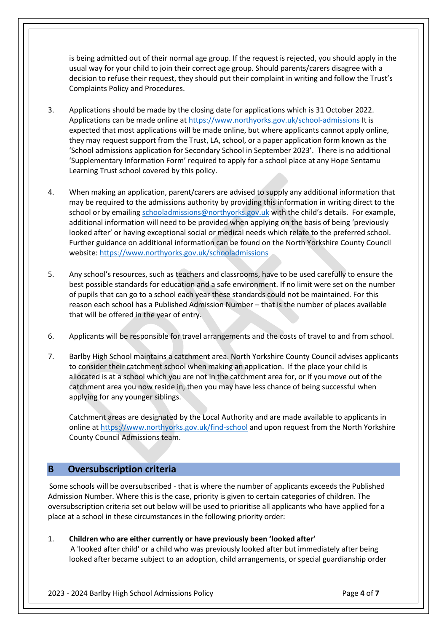is being admitted out of their normal age group. If the request is rejected, you should apply in the usual way for your child to join their correct age group. Should parents/carers disagree with a decision to refuse their request, they should put their complaint in writing and follow the Trust's Complaints Policy and Procedures.

- 3. Applications should be made by the closing date for applications which is 31 October 2022. Applications can be made online at<https://www.northyorks.gov.uk/school-admissions> It is expected that most applications will be made online, but where applicants cannot apply online, they may request support from the Trust, LA, school, or a paper application form known as the 'School admissions application for Secondary School in September 2023'. There is no additional 'Supplementary Information Form' required to apply for a school place at any Hope Sentamu Learning Trust school covered by this policy.
- 4. When making an application, parent/carers are advised to supply any additional information that may be required to the admissions authority by providing this information in writing direct to the school or by emailing schooladmissions@northyorks.gov.uk with the child's details. For example, additional information will need to be provided when applying on the basis of being 'previously looked after' or having exceptional social or medical needs which relate to the preferred school. Further guidance on additional information can be found on the North Yorkshire County Council website[: https://www.northyorks.gov.uk/schooladmissions](https://www.northyorks.gov.uk/school-admissions)
- 5. Any school's resources, such as teachers and classrooms, have to be used carefully to ensure the best possible standards for education and a safe environment. If no limit were set on the number of pupils that can go to a school each year these standards could not be maintained. For this reason each school has a Published Admission Number – that is the number of places available that will be offered in the year of entry.
- 6. Applicants will be responsible for travel arrangements and the costs of travel to and from school.
- 7. Barlby High School maintains a catchment area. North Yorkshire County Council advises applicants to consider their catchment school when making an application. If the place your child is allocated is at a school which you are not in the catchment area for, or if you move out of the catchment area you now reside in, then you may have less chance of being successful when applying for any younger siblings.

Catchment areas are designated by the Local Authority and are made available to applicants in online at<https://www.northyorks.gov.uk/find-school> [a](https://www.northyorks.gov.uk/find-school)nd upon request from the North Yorkshire County Council Admissions team.

#### **B Oversubscription criteria**

 Some schools will be oversubscribed - that is where the number of applicants exceeds the Published Admission Number. Where this is the case, priority is given to certain categories of children. The oversubscription criteria set out below will be used to prioritise all applicants who have applied for a place at a school in these circumstances in the following priority order:

1. **Children who are either currently or have previously been 'looked after'**

 A 'looked after child' or a child who was previously looked after but immediately after being looked after became subject to an adoption, child arrangements, or special guardianship order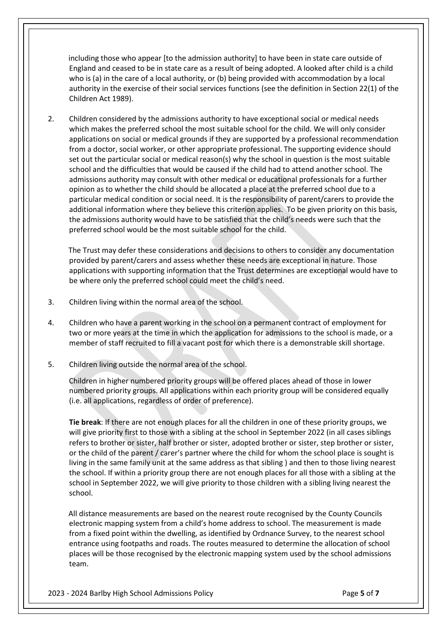including those who appear [to the admission authority] to have been in state care outside of England and ceased to be in state care as a result of being adopted. A looked after child is a child who is (a) in the care of a local authority, or (b) being provided with accommodation by a local authority in the exercise of their social services functions (see the definition in Section 22(1) of the Children Act 1989).

2. Children considered by the admissions authority to have exceptional social or medical needs which makes the preferred school the most suitable school for the child. We will only consider applications on social or medical grounds if they are supported by a professional recommendation from a doctor, social worker, or other appropriate professional. The supporting evidence should set out the particular social or medical reason(s) why the school in question is the most suitable school and the difficulties that would be caused if the child had to attend another school. The admissions authority may consult with other medical or educational professionals for a further opinion as to whether the child should be allocated a place at the preferred school due to a particular medical condition or social need. It is the responsibility of parent/carers to provide the additional information where they believe this criterion applies. To be given priority on this basis, the admissions authority would have to be satisfied that the child's needs were such that the preferred school would be the most suitable school for the child.

 The Trust may defer these considerations and decisions to others to consider any documentation provided by parent/carers and assess whether these needs are exceptional in nature. Those applications with supporting information that the Trust determines are exceptional would have to be where only the preferred school could meet the child's need.

- 3. Children living within the normal area of the school.
- 4. Children who have a parent working in the school on a permanent contract of employment for two or more years at the time in which the application for admissions to the school is made, or a member of staff recruited to fill a vacant post for which there is a demonstrable skill shortage.
- 5. Children living outside the normal area of the school.

 Children in higher numbered priority groups will be offered places ahead of those in lower numbered priority groups. All applications within each priority group will be considered equally (i.e. all applications, regardless of order of preference).

**Tie break**: If there are not enough places for all the children in one of these priority groups, we will give priority first to those with a sibling at the school in September 2022 (in all cases siblings refers to brother or sister, half brother or sister, adopted brother or sister, step brother or sister, or the child of the parent / carer's partner where the child for whom the school place is sought is living in the same family unit at the same address as that sibling ) and then to those living nearest the school. If within a priority group there are not enough places for all those with a sibling at the school in September 2022, we will give priority to those children with a sibling living nearest the school.

 All distance measurements are based on the nearest route recognised by the County Councils electronic mapping system from a child's home address to school. The measurement is made from a fixed point within the dwelling, as identified by Ordnance Survey, to the nearest school entrance using footpaths and roads. The routes measured to determine the allocation of school places will be those recognised by the electronic mapping system used by the school admissions team.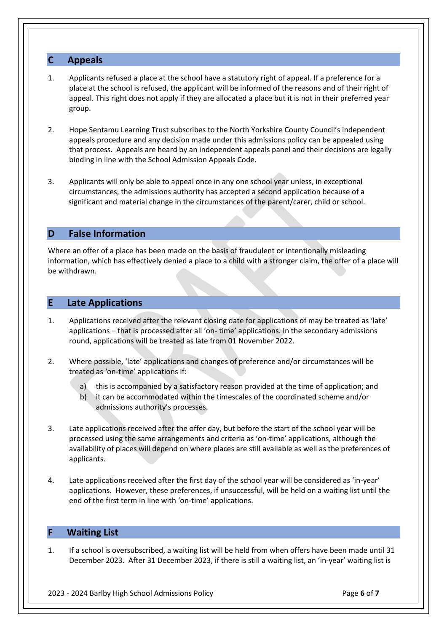#### **C Appeals**

- 1. Applicants refused a place at the school have a statutory right of appeal. If a preference for a place at the school is refused, the applicant will be informed of the reasons and of their right of appeal. This right does not apply if they are allocated a place but it is not in their preferred year group.
- 2. Hope Sentamu Learning Trust subscribes to the North Yorkshire County Council's independent appeals procedure and any decision made under this admissions policy can be appealed using that process. Appeals are heard by an independent appeals panel and their decisions are legally binding in line with the School Admission Appeals Code.
- 3. Applicants will only be able to appeal once in any one school year unless, in exceptional circumstances, the admissions authority has accepted a second application because of a significant and material change in the circumstances of the parent/carer, child or school.

#### **D False Information**

Where an offer of a place has been made on the basis of fraudulent or intentionally misleading information, which has effectively denied a place to a child with a stronger claim, the offer of a place will be withdrawn.

#### **E Late Applications**

- 1. Applications received after the relevant closing date for applications of may be treated as 'late' applications – that is processed after all 'on- time' applications. In the secondary admissions round, applications will be treated as late from 01 November 2022.
- 2. Where possible, 'late' applications and changes of preference and/or circumstances will be treated as 'on-time' applications if:
	- a) this is accompanied by a satisfactory reason provided at the time of application; and
	- b) it can be accommodated within the timescales of the coordinated scheme and/or admissions authority's processes.
- 3. Late applications received after the offer day, but before the start of the school year will be processed using the same arrangements and criteria as 'on-time' applications, although the availability of places will depend on where places are still available as well as the preferences of applicants.
- 4. Late applications received after the first day of the school year will be considered as 'in-year' applications. However, these preferences, if unsuccessful, will be held on a waiting list until the end of the first term in line with 'on-time' applications.

#### **F Waiting List**

1. If a school is oversubscribed, a waiting list will be held from when offers have been made until 31 December 2023. After 31 December 2023, if there is still a waiting list, an 'in-year' waiting list is

2023 - 2024 Barlby High School Admissions Policy Page **6** of **7**